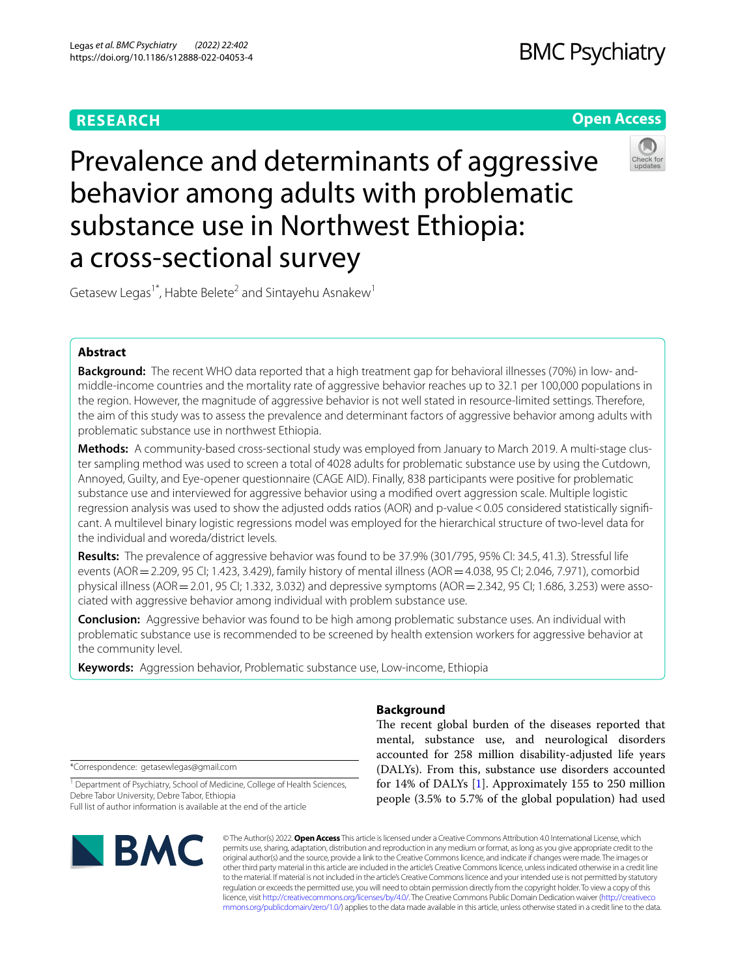# **RESEARCH**

# **Open Access**



# Prevalence and determinants of aggressive behavior among adults with problematic substance use in Northwest Ethiopia: a cross-sectional survey

Getasew Legas<sup>1\*</sup>, Habte Belete<sup>2</sup> and Sintayehu Asnakew<sup>1</sup>

# **Abstract**

**Background:** The recent WHO data reported that a high treatment gap for behavioral illnesses (70%) in low- andmiddle-income countries and the mortality rate of aggressive behavior reaches up to 32.1 per 100,000 populations in the region. However, the magnitude of aggressive behavior is not well stated in resource-limited settings. Therefore, the aim of this study was to assess the prevalence and determinant factors of aggressive behavior among adults with problematic substance use in northwest Ethiopia.

**Methods:** A community-based cross-sectional study was employed from January to March 2019. A multi-stage cluster sampling method was used to screen a total of 4028 adults for problematic substance use by using the Cutdown, Annoyed, Guilty, and Eye-opener questionnaire (CAGE AID). Finally, 838 participants were positive for problematic substance use and interviewed for aggressive behavior using a modifed overt aggression scale. Multiple logistic regression analysis was used to show the adjusted odds ratios (AOR) and p-value <0.05 considered statistically significant. A multilevel binary logistic regressions model was employed for the hierarchical structure of two-level data for the individual and woreda/district levels.

**Results:** The prevalence of aggressive behavior was found to be 37.9% (301/795, 95% CI: 34.5, 41.3). Stressful life events (AOR = 2.209, 95 CI; 1.423, 3.429), family history of mental illness (AOR = 4.038, 95 CI; 2.046, 7.971), comorbid physical illness (AOR=2.01, 95 CI; 1.332, 3.032) and depressive symptoms (AOR=2.342, 95 CI; 1.686, 3.253) were associated with aggressive behavior among individual with problem substance use.

**Conclusion:** Aggressive behavior was found to be high among problematic substance uses. An individual with problematic substance use is recommended to be screened by health extension workers for aggressive behavior at the community level.

**Keywords:** Aggression behavior, Problematic substance use, Low-income, Ethiopia

\*Correspondence: getasewlegas@gmail.com

<sup>1</sup> Department of Psychiatry, School of Medicine, College of Health Sciences, Debre Tabor University, Debre Tabor, Ethiopia Full list of author information is available at the end of the article



# **Background**

The recent global burden of the diseases reported that mental, substance use, and neurological disorders accounted for 258 million disability-adjusted life years (DALYs). From this, substance use disorders accounted for 14% of DALYs [\[1](#page-5-0)]. Approximately 155 to 250 million people (3.5% to 5.7% of the global population) had used

© The Author(s) 2022. **Open Access** This article is licensed under a Creative Commons Attribution 4.0 International License, which permits use, sharing, adaptation, distribution and reproduction in any medium or format, as long as you give appropriate credit to the original author(s) and the source, provide a link to the Creative Commons licence, and indicate if changes were made. The images or other third party material in this article are included in the article's Creative Commons licence, unless indicated otherwise in a credit line to the material. If material is not included in the article's Creative Commons licence and your intended use is not permitted by statutory regulation or exceeds the permitted use, you will need to obtain permission directly from the copyright holder. To view a copy of this licence, visit [http://creativecommons.org/licenses/by/4.0/.](http://creativecommons.org/licenses/by/4.0/) The Creative Commons Public Domain Dedication waiver ([http://creativeco](http://creativecommons.org/publicdomain/zero/1.0/) [mmons.org/publicdomain/zero/1.0/](http://creativecommons.org/publicdomain/zero/1.0/)) applies to the data made available in this article, unless otherwise stated in a credit line to the data.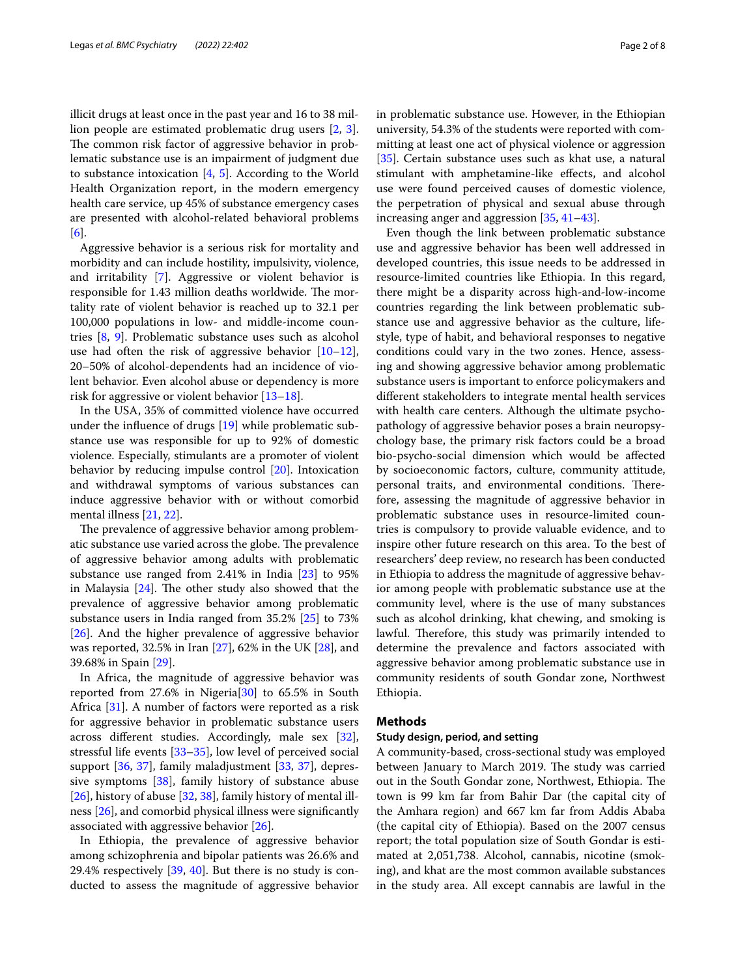illicit drugs at least once in the past year and 16 to 38 million people are estimated problematic drug users [[2](#page-6-0), [3](#page-6-1)]. The common risk factor of aggressive behavior in problematic substance use is an impairment of judgment due to substance intoxication [\[4](#page-6-2), [5](#page-6-3)]. According to the World Health Organization report, in the modern emergency health care service, up 45% of substance emergency cases are presented with alcohol-related behavioral problems [[6\]](#page-6-4).

Aggressive behavior is a serious risk for mortality and morbidity and can include hostility, impulsivity, violence, and irritability [\[7](#page-6-5)]. Aggressive or violent behavior is responsible for 1.43 million deaths worldwide. The mortality rate of violent behavior is reached up to 32.1 per 100,000 populations in low- and middle-income countries [[8,](#page-6-6) [9\]](#page-6-7). Problematic substance uses such as alcohol use had often the risk of aggressive behavior  $[10-12]$  $[10-12]$  $[10-12]$ , 20–50% of alcohol-dependents had an incidence of violent behavior. Even alcohol abuse or dependency is more risk for aggressive or violent behavior [[13](#page-6-10)[–18](#page-6-11)].

In the USA, 35% of committed violence have occurred under the infuence of drugs [[19\]](#page-6-12) while problematic substance use was responsible for up to 92% of domestic violence. Especially, stimulants are a promoter of violent behavior by reducing impulse control [[20\]](#page-6-13). Intoxication and withdrawal symptoms of various substances can induce aggressive behavior with or without comorbid mental illness [\[21](#page-6-14), [22](#page-6-15)].

The prevalence of aggressive behavior among problematic substance use varied across the globe. The prevalence of aggressive behavior among adults with problematic substance use ranged from 2.41% in India [\[23](#page-6-16)] to 95% in Malaysia  $[24]$  $[24]$ . The other study also showed that the prevalence of aggressive behavior among problematic substance users in India ranged from 35.2% [[25\]](#page-6-18) to 73% [[26\]](#page-6-19). And the higher prevalence of aggressive behavior was reported, 32.5% in Iran [[27\]](#page-6-20), 62% in the UK [[28](#page-6-21)], and 39.68% in Spain [\[29](#page-6-22)].

In Africa, the magnitude of aggressive behavior was reported from  $27.6\%$  in Nigeria $[30]$  $[30]$  to  $65.5\%$  in South Africa [\[31](#page-6-24)]. A number of factors were reported as a risk for aggressive behavior in problematic substance users across diferent studies. Accordingly, male sex [\[32](#page-6-25)], stressful life events [\[33–](#page-6-26)[35\]](#page-6-27), low level of perceived social support [\[36](#page-6-28), [37\]](#page-6-29), family maladjustment [[33,](#page-6-26) [37\]](#page-6-29), depressive symptoms [[38\]](#page-6-30), family history of substance abuse [[26\]](#page-6-19), history of abuse [[32](#page-6-25), [38\]](#page-6-30), family history of mental illness [[26\]](#page-6-19), and comorbid physical illness were signifcantly associated with aggressive behavior [\[26](#page-6-19)].

In Ethiopia, the prevalence of aggressive behavior among schizophrenia and bipolar patients was 26.6% and 29.4% respectively [\[39](#page-6-31), [40](#page-6-32)]. But there is no study is conducted to assess the magnitude of aggressive behavior in problematic substance use. However, in the Ethiopian university, 54.3% of the students were reported with committing at least one act of physical violence or aggression [[35\]](#page-6-27). Certain substance uses such as khat use, a natural stimulant with amphetamine-like efects, and alcohol use were found perceived causes of domestic violence, the perpetration of physical and sexual abuse through increasing anger and aggression [\[35,](#page-6-27) [41](#page-6-33)[–43](#page-6-34)].

Even though the link between problematic substance use and aggressive behavior has been well addressed in developed countries, this issue needs to be addressed in resource-limited countries like Ethiopia. In this regard, there might be a disparity across high-and-low-income countries regarding the link between problematic substance use and aggressive behavior as the culture, lifestyle, type of habit, and behavioral responses to negative conditions could vary in the two zones. Hence, assessing and showing aggressive behavior among problematic substance users is important to enforce policymakers and diferent stakeholders to integrate mental health services with health care centers. Although the ultimate psychopathology of aggressive behavior poses a brain neuropsychology base, the primary risk factors could be a broad bio-psycho-social dimension which would be afected by socioeconomic factors, culture, community attitude, personal traits, and environmental conditions. Therefore, assessing the magnitude of aggressive behavior in problematic substance uses in resource-limited countries is compulsory to provide valuable evidence, and to inspire other future research on this area. To the best of researchers' deep review, no research has been conducted in Ethiopia to address the magnitude of aggressive behavior among people with problematic substance use at the community level, where is the use of many substances such as alcohol drinking, khat chewing, and smoking is lawful. Therefore, this study was primarily intended to determine the prevalence and factors associated with aggressive behavior among problematic substance use in community residents of south Gondar zone, Northwest Ethiopia.

# **Methods**

## **Study design, period, and setting**

A community-based, cross-sectional study was employed between January to March 2019. The study was carried out in the South Gondar zone, Northwest, Ethiopia. The town is 99 km far from Bahir Dar (the capital city of the Amhara region) and 667 km far from Addis Ababa (the capital city of Ethiopia). Based on the 2007 census report; the total population size of South Gondar is estimated at 2,051,738. Alcohol, cannabis, nicotine (smoking), and khat are the most common available substances in the study area. All except cannabis are lawful in the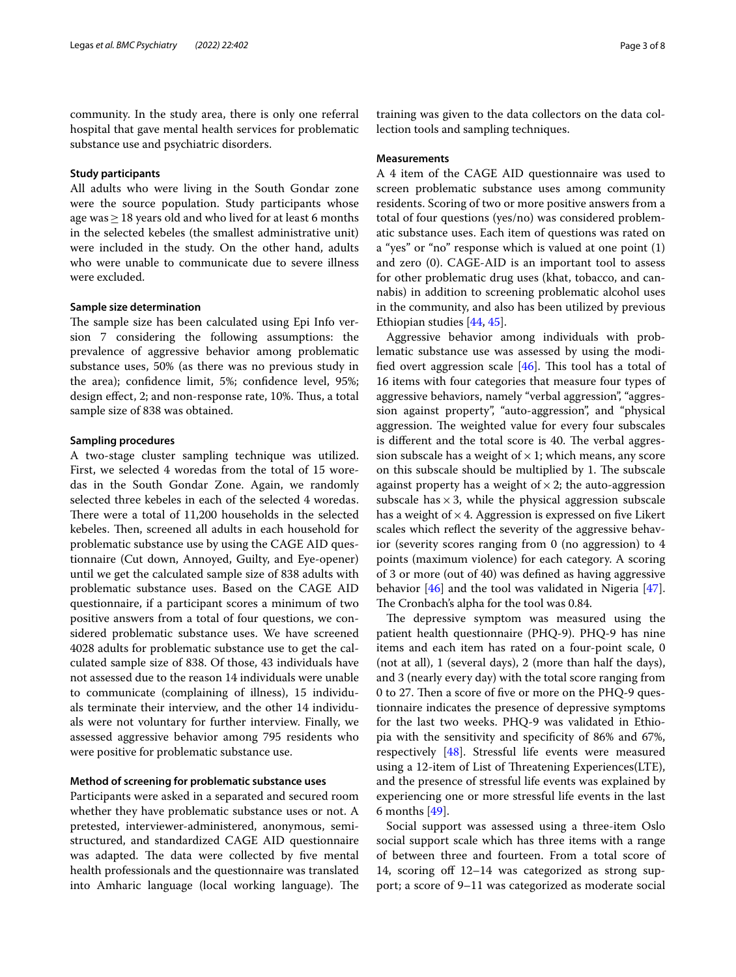community. In the study area, there is only one referral hospital that gave mental health services for problematic substance use and psychiatric disorders.

# **Study participants**

All adults who were living in the South Gondar zone were the source population. Study participants whose age was  $\geq$  18 years old and who lived for at least 6 months in the selected kebeles (the smallest administrative unit) were included in the study. On the other hand, adults who were unable to communicate due to severe illness were excluded.

# **Sample size determination**

The sample size has been calculated using Epi Info version 7 considering the following assumptions: the prevalence of aggressive behavior among problematic substance uses, 50% (as there was no previous study in the area); confdence limit, 5%; confdence level, 95%; design effect, 2; and non-response rate, 10%. Thus, a total sample size of 838 was obtained.

# **Sampling procedures**

A two-stage cluster sampling technique was utilized. First, we selected 4 woredas from the total of 15 woredas in the South Gondar Zone. Again, we randomly selected three kebeles in each of the selected 4 woredas. There were a total of 11,200 households in the selected kebeles. Then, screened all adults in each household for problematic substance use by using the CAGE AID questionnaire (Cut down, Annoyed, Guilty, and Eye-opener) until we get the calculated sample size of 838 adults with problematic substance uses. Based on the CAGE AID questionnaire, if a participant scores a minimum of two positive answers from a total of four questions, we considered problematic substance uses. We have screened 4028 adults for problematic substance use to get the calculated sample size of 838. Of those, 43 individuals have not assessed due to the reason 14 individuals were unable to communicate (complaining of illness), 15 individuals terminate their interview, and the other 14 individuals were not voluntary for further interview. Finally, we assessed aggressive behavior among 795 residents who were positive for problematic substance use.

# **Method of screening for problematic substance uses**

Participants were asked in a separated and secured room whether they have problematic substance uses or not. A pretested, interviewer-administered, anonymous, semistructured, and standardized CAGE AID questionnaire was adapted. The data were collected by five mental health professionals and the questionnaire was translated into Amharic language (local working language). The training was given to the data collectors on the data collection tools and sampling techniques.

# **Measurements**

A 4 item of the CAGE AID questionnaire was used to screen problematic substance uses among community residents. Scoring of two or more positive answers from a total of four questions (yes/no) was considered problematic substance uses. Each item of questions was rated on a "yes" or "no" response which is valued at one point (1) and zero (0). CAGE-AID is an important tool to assess for other problematic drug uses (khat, tobacco, and cannabis) in addition to screening problematic alcohol uses in the community, and also has been utilized by previous Ethiopian studies [[44,](#page-6-35) [45\]](#page-6-36).

Aggressive behavior among individuals with problematic substance use was assessed by using the modified overt aggression scale  $[46]$  $[46]$ . This tool has a total of 16 items with four categories that measure four types of aggressive behaviors, namely "verbal aggression", "aggression against property", "auto-aggression", and "physical aggression. The weighted value for every four subscales is different and the total score is 40. The verbal aggression subscale has a weight of  $\times$  1; which means, any score on this subscale should be multiplied by 1. The subscale against property has a weight of  $\times$  2; the auto-aggression subscale has  $\times$  3, while the physical aggression subscale has a weight of  $\times$  4. Aggression is expressed on five Likert scales which refect the severity of the aggressive behavior (severity scores ranging from 0 (no aggression) to 4 points (maximum violence) for each category. A scoring of 3 or more (out of 40) was defned as having aggressive behavior [[46](#page-6-37)] and the tool was validated in Nigeria [\[47](#page-6-38)]. The Cronbach's alpha for the tool was 0.84.

The depressive symptom was measured using the patient health questionnaire (PHQ-9). PHQ-9 has nine items and each item has rated on a four-point scale, 0 (not at all), 1 (several days), 2 (more than half the days), and 3 (nearly every day) with the total score ranging from 0 to 27. Then a score of five or more on the PHQ-9 questionnaire indicates the presence of depressive symptoms for the last two weeks. PHQ-9 was validated in Ethiopia with the sensitivity and specifcity of 86% and 67%, respectively [[48\]](#page-6-39). Stressful life events were measured using a 12-item of List of Threatening Experiences(LTE), and the presence of stressful life events was explained by experiencing one or more stressful life events in the last 6 months [[49](#page-6-40)].

Social support was assessed using a three-item Oslo social support scale which has three items with a range of between three and fourteen. From a total score of 14, scoring of 12–14 was categorized as strong support; a score of 9–11 was categorized as moderate social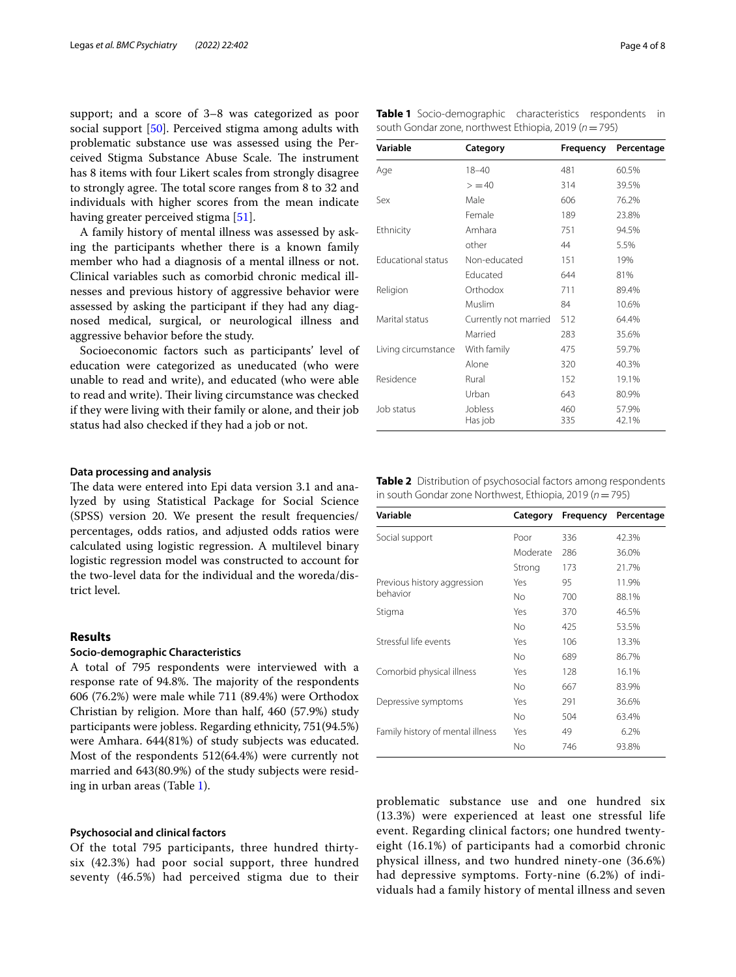support; and a score of 3–8 was categorized as poor social support [[50\]](#page-7-0). Perceived stigma among adults with problematic substance use was assessed using the Perceived Stigma Substance Abuse Scale. The instrument has 8 items with four Likert scales from strongly disagree to strongly agree. The total score ranges from 8 to 32 and individuals with higher scores from the mean indicate having greater perceived stigma [[51\]](#page-7-1).

A family history of mental illness was assessed by asking the participants whether there is a known family member who had a diagnosis of a mental illness or not. Clinical variables such as comorbid chronic medical illnesses and previous history of aggressive behavior were assessed by asking the participant if they had any diagnosed medical, surgical, or neurological illness and aggressive behavior before the study.

Socioeconomic factors such as participants' level of education were categorized as uneducated (who were unable to read and write), and educated (who were able to read and write). Their living circumstance was checked if they were living with their family or alone, and their job status had also checked if they had a job or not.

## **Data processing and analysis**

The data were entered into Epi data version 3.1 and analyzed by using Statistical Package for Social Science (SPSS) version 20. We present the result frequencies/ percentages, odds ratios, and adjusted odds ratios were calculated using logistic regression. A multilevel binary logistic regression model was constructed to account for the two-level data for the individual and the woreda/district level.

# **Results**

# **Socio‑demographic Characteristics**

A total of 795 respondents were interviewed with a response rate of 94.8%. The majority of the respondents 606 (76.2%) were male while 711 (89.4%) were Orthodox Christian by religion. More than half, 460 (57.9%) study participants were jobless. Regarding ethnicity, 751(94.5%) were Amhara. 644(81%) of study subjects was educated. Most of the respondents 512(64.4%) were currently not married and 643(80.9%) of the study subjects were residing in urban areas (Table [1\)](#page-3-0).

## **Psychosocial and clinical factors**

Of the total 795 participants, three hundred thirtysix (42.3%) had poor social support, three hundred seventy (46.5%) had perceived stigma due to their

<span id="page-3-0"></span>

|                                                           | <b>Table 1</b> Socio-demographic characteristics respondents in |  |  |  |  |  |  |
|-----------------------------------------------------------|-----------------------------------------------------------------|--|--|--|--|--|--|
| south Gondar zone, northwest Ethiopia, 2019 ( $n = 795$ ) |                                                                 |  |  |  |  |  |  |

| Variable            | Category              | Frequency  | Percentage     |  |
|---------------------|-----------------------|------------|----------------|--|
| Age                 | $18 - 40$             | 481        | 60.5%          |  |
|                     | > 40                  | 314        | 39.5%          |  |
| Sex                 | Male                  | 606        | 76.2%          |  |
|                     | Female                | 189        | 23.8%          |  |
| Ethnicity           | Amhara                | 751        | 94.5%          |  |
|                     | other                 | 44         | 5.5%           |  |
| Educational status  | Non-educated          | 151        | 19%            |  |
|                     | Educated              | 644        | 81%            |  |
| Religion            | Orthodox              | 711        | 89.4%          |  |
|                     | Muslim                | 84         | 10.6%          |  |
| Marital status      | Currently not married | 512        | 64.4%          |  |
|                     | Married               | 283        | 35.6%          |  |
| Living circumstance | With family           | 475        | 59.7%          |  |
|                     | Alone                 | 320        | 40.3%          |  |
| Residence           | Rural                 | 152        | 19.1%          |  |
|                     | Urban                 | 643        | 80.9%          |  |
| Job status          | Jobless<br>Has job    | 460<br>335 | 57.9%<br>42.1% |  |

<span id="page-3-1"></span>**Table 2** Distribution of psychosocial factors among respondents in south Gondar zone Northwest, Ethiopia, 2019 (*n*=795)

| Variable                         | Category | Frequency | Percentage |
|----------------------------------|----------|-----------|------------|
| Social support                   | Poor     | 336       | 42.3%      |
|                                  | Moderate | 286       | 36.0%      |
|                                  | Strong   | 173       | 21.7%      |
| Previous history aggression      | Yes      | 95        | 11.9%      |
| behavior                         | No.      | 700       | 88.1%      |
| Stigma                           | Yes      | 370       | 46.5%      |
|                                  | No.      | 425       | 53.5%      |
| Stressful life events            | Yes      | 106       | 13.3%      |
|                                  | No       | 689       | 86.7%      |
| Comorbid physical illness        | Yes      | 128       | 16.1%      |
|                                  | No       | 667       | 83.9%      |
| Depressive symptoms              | Yes      | 291       | 36.6%      |
|                                  | No.      | 504       | 63.4%      |
| Family history of mental illness | Yes      | 49        | 6.2%       |
|                                  | No       | 746       | 93.8%      |

problematic substance use and one hundred six (13.3%) were experienced at least one stressful life event. Regarding clinical factors; one hundred twentyeight (16.1%) of participants had a comorbid chronic physical illness, and two hundred ninety-one (36.6%) had depressive symptoms. Forty-nine (6.2%) of individuals had a family history of mental illness and seven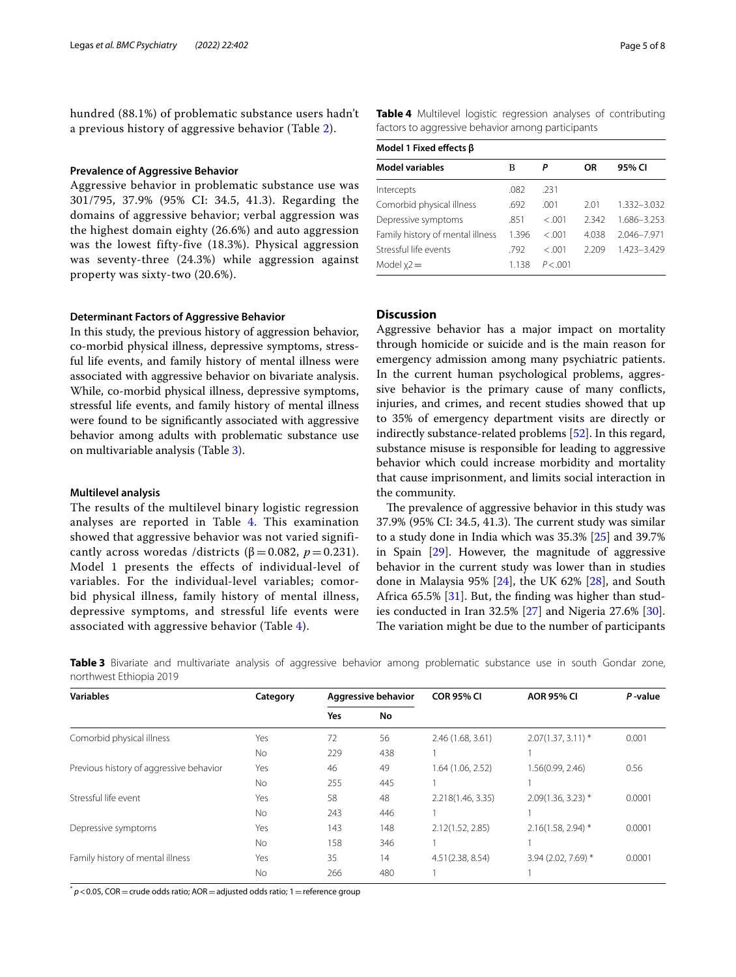hundred (88.1%) of problematic substance users hadn't a previous history of aggressive behavior (Table [2\)](#page-3-1).

# **Prevalence of Aggressive Behavior**

Aggressive behavior in problematic substance use was 301/795, 37.9% (95% CI: 34.5, 41.3). Regarding the domains of aggressive behavior; verbal aggression was the highest domain eighty (26.6%) and auto aggression was the lowest fifty-five (18.3%). Physical aggression was seventy-three (24.3%) while aggression against property was sixty-two (20.6%).

# **Determinant Factors of Aggressive Behavior**

In this study, the previous history of aggression behavior, co-morbid physical illness, depressive symptoms, stressful life events, and family history of mental illness were associated with aggressive behavior on bivariate analysis. While, co-morbid physical illness, depressive symptoms, stressful life events, and family history of mental illness were found to be signifcantly associated with aggressive behavior among adults with problematic substance use on multivariable analysis (Table [3\)](#page-4-0).

# **Multilevel analysis**

The results of the multilevel binary logistic regression analyses are reported in Table [4.](#page-4-1) This examination showed that aggressive behavior was not varied significantly across woredas /districts ( $\beta$  = 0.082, *p* = 0.231). Model 1 presents the effects of individual-level of variables. For the individual-level variables; comorbid physical illness, family history of mental illness, depressive symptoms, and stressful life events were associated with aggressive behavior (Table [4\)](#page-4-1).

<span id="page-4-1"></span>**Table 4** Multilevel logistic regression analyses of contributing factors to aggressive behavior among participants

| Model 1 Fixed effects β          |       |          |       |             |  |  |
|----------------------------------|-------|----------|-------|-------------|--|--|
| <b>Model variables</b>           | в     | P        | OR    | 95% CI      |  |  |
| Intercepts                       | .082  | .231     |       |             |  |  |
| Comorbid physical illness        | .692  | .001     | 201   | 1.332-3.032 |  |  |
| Depressive symptoms              | .851  | < .001   | 2.342 | 1.686-3.253 |  |  |
| Family history of mental illness | 1.396 | < .001   | 4.038 | 2.046-7.971 |  |  |
| Stressful life events            | 792   | < .001   | 2.209 | 1.423-3.429 |  |  |
| Model $x^2 =$                    | 1.138 | P < 0.01 |       |             |  |  |

# **Discussion**

Aggressive behavior has a major impact on mortality through homicide or suicide and is the main reason for emergency admission among many psychiatric patients. In the current human psychological problems, aggressive behavior is the primary cause of many conficts, injuries, and crimes, and recent studies showed that up to 35% of emergency department visits are directly or indirectly substance-related problems [[52\]](#page-7-2). In this regard, substance misuse is responsible for leading to aggressive behavior which could increase morbidity and mortality that cause imprisonment, and limits social interaction in the community.

The prevalence of aggressive behavior in this study was 37.9% (95% CI: 34.5, 41.3). The current study was similar to a study done in India which was 35.3% [\[25\]](#page-6-18) and 39.7% in Spain [\[29\]](#page-6-22). However, the magnitude of aggressive behavior in the current study was lower than in studies done in Malaysia 95%  $[24]$  $[24]$ , the UK 62%  $[28]$  $[28]$ , and South Africa 65.5%  $[31]$  $[31]$ . But, the finding was higher than studies conducted in Iran 32.5% [[27\]](#page-6-20) and Nigeria 27.6% [\[30](#page-6-23)]. The variation might be due to the number of participants

<span id="page-4-0"></span>**Table 3** Bivariate and multivariate analysis of aggressive behavior among problematic substance use in south Gondar zone, northwest Ethiopia 2019

| <b>Variables</b>                        | Category  | Aggressive behavior |     | <b>COR 95% CI</b> | <b>AOR 95% CI</b>    | P-value |
|-----------------------------------------|-----------|---------------------|-----|-------------------|----------------------|---------|
|                                         |           | Yes                 | No  |                   |                      |         |
| Comorbid physical illness               | Yes       | 72                  | 56  | 2.46 (1.68, 3.61) | $2.07(1.37, 3.11)$ * | 0.001   |
|                                         | No        | 229                 | 438 |                   |                      |         |
| Previous history of aggressive behavior | Yes       | 46                  | 49  | 1.64 (1.06, 2.52) | 1.56(0.99, 2.46)     | 0.56    |
|                                         | <b>No</b> | 255                 | 445 |                   |                      |         |
| Stressful life event                    | Yes       | 58                  | 48  | 2.218(1.46, 3.35) | $2.09(1.36, 3.23)$ * | 0.0001  |
|                                         | <b>No</b> | 243                 | 446 |                   |                      |         |
| Depressive symptoms                     | Yes       | 143                 | 148 | 2.12(1.52, 2.85)  | $2.16(1.58, 2.94)$ * | 0.0001  |
|                                         | <b>No</b> | 158                 | 346 |                   |                      |         |
| Family history of mental illness        | Yes       | 35                  | 14  | 4.51(2.38, 8.54)  | 3.94 (2.02, 7.69) *  | 0.0001  |
|                                         | No        | 266                 | 480 |                   |                      |         |

 $p$  < 0.05, COR = crude odds ratio; AOR = adjusted odds ratio; 1 = reference group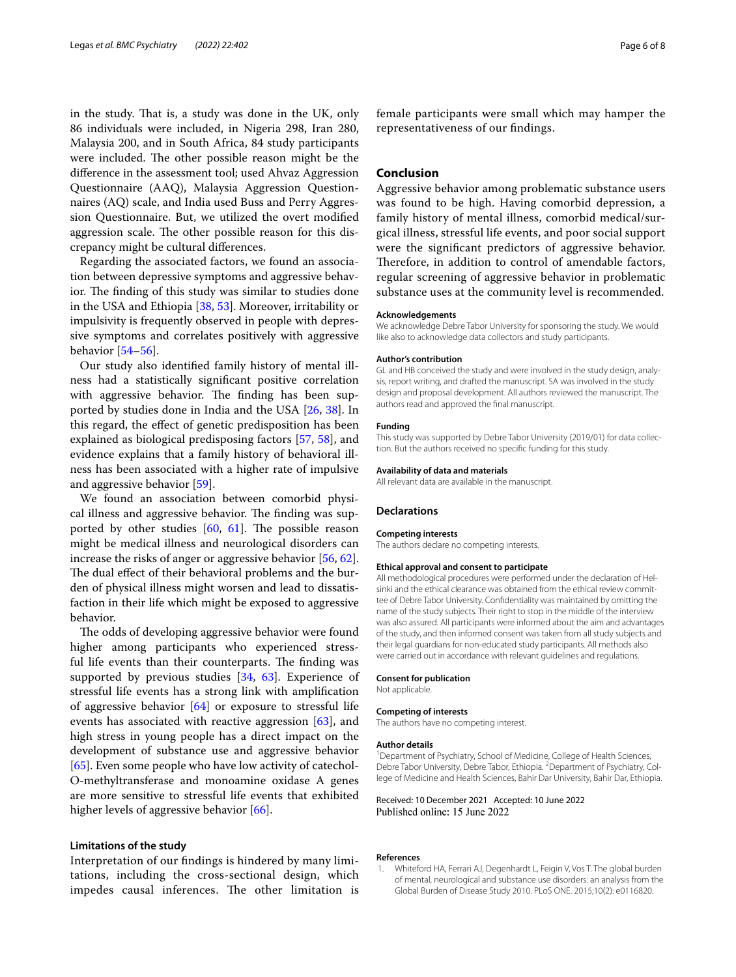in the study. That is, a study was done in the UK, only 86 individuals were included, in Nigeria 298, Iran 280, Malaysia 200, and in South Africa, 84 study participants were included. The other possible reason might be the diference in the assessment tool; used Ahvaz Aggression Questionnaire (AAQ), Malaysia Aggression Questionnaires (AQ) scale, and India used Buss and Perry Aggression Questionnaire. But, we utilized the overt modifed aggression scale. The other possible reason for this discrepancy might be cultural diferences.

Regarding the associated factors, we found an association between depressive symptoms and aggressive behavior. The finding of this study was similar to studies done in the USA and Ethiopia [\[38](#page-6-30), [53\]](#page-7-3). Moreover, irritability or impulsivity is frequently observed in people with depressive symptoms and correlates positively with aggressive behavior [[54–](#page-7-4)[56](#page-7-5)].

Our study also identifed family history of mental illness had a statistically signifcant positive correlation with aggressive behavior. The finding has been supported by studies done in India and the USA [[26](#page-6-19), [38](#page-6-30)]. In this regard, the efect of genetic predisposition has been explained as biological predisposing factors [\[57](#page-7-6), [58](#page-7-7)], and evidence explains that a family history of behavioral illness has been associated with a higher rate of impulsive and aggressive behavior [[59\]](#page-7-8).

We found an association between comorbid physical illness and aggressive behavior. The finding was supported by other studies  $[60, 61]$  $[60, 61]$  $[60, 61]$  $[60, 61]$  $[60, 61]$ . The possible reason might be medical illness and neurological disorders can increase the risks of anger or aggressive behavior [[56,](#page-7-5) [62](#page-7-11)]. The dual effect of their behavioral problems and the burden of physical illness might worsen and lead to dissatisfaction in their life which might be exposed to aggressive behavior.

The odds of developing aggressive behavior were found higher among participants who experienced stressful life events than their counterparts. The finding was supported by previous studies [[34,](#page-6-41) [63\]](#page-7-12). Experience of stressful life events has a strong link with amplifcation of aggressive behavior [[64\]](#page-7-13) or exposure to stressful life events has associated with reactive aggression [[63](#page-7-12)], and high stress in young people has a direct impact on the development of substance use and aggressive behavior [[65\]](#page-7-14). Even some people who have low activity of catechol-O-methyltransferase and monoamine oxidase A genes are more sensitive to stressful life events that exhibited higher levels of aggressive behavior [\[66](#page-7-15)].

# **Limitations of the study**

Interpretation of our fndings is hindered by many limitations, including the cross-sectional design, which impedes causal inferences. The other limitation is

female participants were small which may hamper the representativeness of our fndings.

# **Conclusion**

Aggressive behavior among problematic substance users was found to be high. Having comorbid depression, a family history of mental illness, comorbid medical/surgical illness, stressful life events, and poor social support were the signifcant predictors of aggressive behavior. Therefore, in addition to control of amendable factors, regular screening of aggressive behavior in problematic substance uses at the community level is recommended.

## **Acknowledgements**

We acknowledge Debre Tabor University for sponsoring the study. We would like also to acknowledge data collectors and study participants.

#### **Author's contribution**

GL and HB conceived the study and were involved in the study design, analysis, report writing, and drafted the manuscript. SA was involved in the study design and proposal development. All authors reviewed the manuscript. The authors read and approved the fnal manuscript.

## **Funding**

This study was supported by Debre Tabor University (2019/01) for data collection. But the authors received no specifc funding for this study.

## **Availability of data and materials**

All relevant data are available in the manuscript.

# **Declarations**

## **Competing interests**

The authors declare no competing interests.

#### **Ethical approval and consent to participate**

All methodological procedures were performed under the declaration of Helsinki and the ethical clearance was obtained from the ethical review committee of Debre Tabor University. Confdentiality was maintained by omitting the name of the study subjects. Their right to stop in the middle of the interview was also assured. All participants were informed about the aim and advantages of the study, and then informed consent was taken from all study subjects and their legal guardians for non-educated study participants. All methods also were carried out in accordance with relevant guidelines and regulations.

#### **Consent for publication**

Not applicable.

## **Competing of interests**

The authors have no competing interest.

### **Author details**

<sup>1</sup> Department of Psychiatry, School of Medicine, College of Health Sciences, Debre Tabor University, Debre Tabor, Ethiopia. <sup>2</sup> Department of Psychiatry, College of Medicine and Health Sciences, Bahir Dar University, Bahir Dar, Ethiopia.

Received: 10 December 2021 Accepted: 10 June 2022 Published online: 15 June 2022

### **References**

<span id="page-5-0"></span>1. Whiteford HA, Ferrari AJ, Degenhardt L, Feigin V, Vos T. The global burden of mental, neurological and substance use disorders: an analysis from the Global Burden of Disease Study 2010. PLoS ONE. 2015;10(2): e0116820.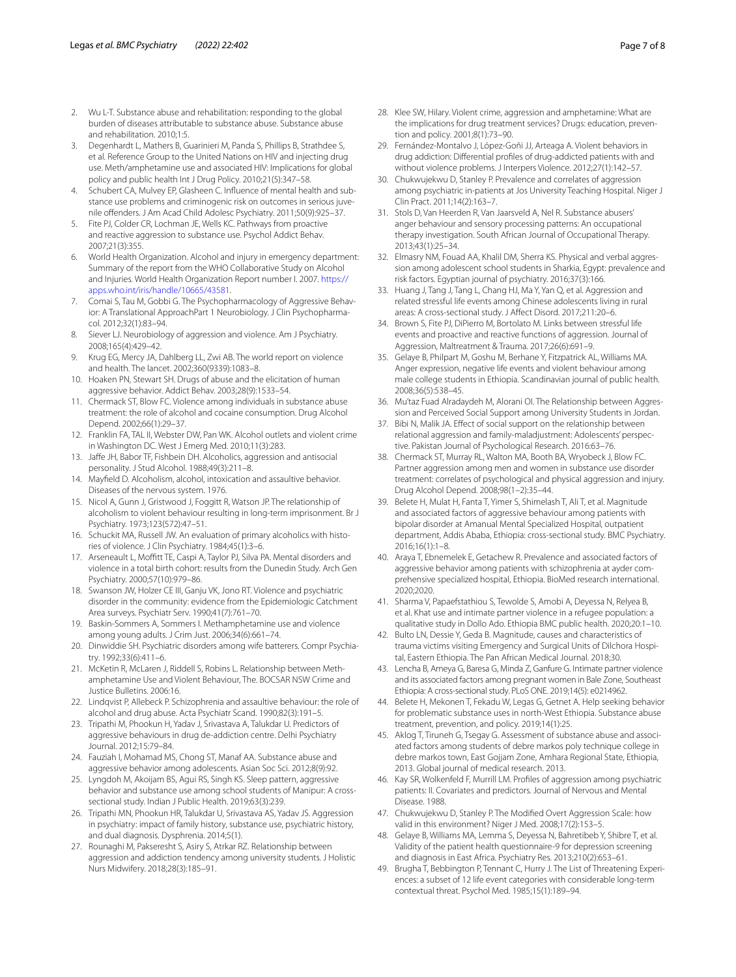- <span id="page-6-0"></span>2. Wu L-T. Substance abuse and rehabilitation: responding to the global burden of diseases attributable to substance abuse. Substance abuse and rehabilitation. 2010;1:5.
- <span id="page-6-1"></span>3. Degenhardt L, Mathers B, Guarinieri M, Panda S, Phillips B, Strathdee S, et al. Reference Group to the United Nations on HIV and injecting drug use. Meth/amphetamine use and associated HIV: Implications for global policy and public health Int J Drug Policy. 2010;21(5):347–58.
- <span id="page-6-2"></span>4. Schubert CA, Mulvey EP, Glasheen C. Infuence of mental health and substance use problems and criminogenic risk on outcomes in serious juvenile ofenders. J Am Acad Child Adolesc Psychiatry. 2011;50(9):925–37.
- <span id="page-6-3"></span>5. Fite PJ, Colder CR, Lochman JE, Wells KC. Pathways from proactive and reactive aggression to substance use. Psychol Addict Behav. 2007;21(3):355.
- <span id="page-6-4"></span>World Health Organization. Alcohol and injury in emergency department: Summary of the report from the WHO Collaborative Study on Alcohol and Injuries. World Health Organization Report number I. 2007. [https://](https://apps.who.int/iris/handle/10665/43581) [apps.who.int/iris/handle/10665/43581.](https://apps.who.int/iris/handle/10665/43581)
- <span id="page-6-5"></span>7. Comai S, Tau M, Gobbi G. The Psychopharmacology of Aggressive Behavior: A Translational ApproachPart 1 Neurobiology. J Clin Psychopharmacol. 2012;32(1):83–94.
- <span id="page-6-6"></span>8. Siever LJ. Neurobiology of aggression and violence. Am J Psychiatry. 2008;165(4):429–42.
- <span id="page-6-7"></span>9. Krug EG, Mercy JA, Dahlberg LL, Zwi AB. The world report on violence and health. The lancet. 2002;360(9339):1083–8.
- <span id="page-6-8"></span>10. Hoaken PN, Stewart SH. Drugs of abuse and the elicitation of human aggressive behavior. Addict Behav. 2003;28(9):1533–54.
- 11. Chermack ST, Blow FC. Violence among individuals in substance abuse treatment: the role of alcohol and cocaine consumption. Drug Alcohol Depend. 2002;66(1):29–37.
- <span id="page-6-9"></span>12. Franklin FA, TAL II, Webster DW, Pan WK. Alcohol outlets and violent crime in Washington DC. West J Emerg Med. 2010;11(3):283.
- <span id="page-6-10"></span>13. Jafe JH, Babor TF, Fishbein DH. Alcoholics, aggression and antisocial personality. J Stud Alcohol. 1988;49(3):211–8.
- 14. Mayfeld D. Alcoholism, alcohol, intoxication and assaultive behavior. Diseases of the nervous system. 1976.
- 15. Nicol A, Gunn J, Gristwood J, Foggitt R, Watson JP. The relationship of alcoholism to violent behaviour resulting in long-term imprisonment. Br J Psychiatry. 1973;123(572):47–51.
- 16. Schuckit MA, Russell JW. An evaluation of primary alcoholics with histories of violence. J Clin Psychiatry. 1984;45(1):3–6.
- 17. Arseneault L, Moffitt TE, Caspi A, Taylor PJ, Silva PA. Mental disorders and violence in a total birth cohort: results from the Dunedin Study. Arch Gen Psychiatry. 2000;57(10):979–86.
- <span id="page-6-11"></span>18. Swanson JW, Holzer CE III, Ganju VK, Jono RT. Violence and psychiatric disorder in the community: evidence from the Epidemiologic Catchment Area surveys. Psychiatr Serv. 1990;41(7):761–70.
- <span id="page-6-12"></span>19. Baskin-Sommers A, Sommers I. Methamphetamine use and violence among young adults. J Crim Just. 2006;34(6):661–74.
- <span id="page-6-13"></span>20. Dinwiddie SH. Psychiatric disorders among wife batterers. Compr Psychiatry. 1992;33(6):411–6.
- <span id="page-6-14"></span>21. McKetin R, McLaren J, Riddell S, Robins L. Relationship between Methamphetamine Use and Violent Behaviour, The. BOCSAR NSW Crime and Justice Bulletins. 2006:16.
- <span id="page-6-15"></span>22. Lindqvist P, Allebeck P. Schizophrenia and assaultive behaviour: the role of alcohol and drug abuse. Acta Psychiatr Scand. 1990;82(3):191–5.
- <span id="page-6-16"></span>23. Tripathi M, Phookun H, Yadav J, Srivastava A, Talukdar U. Predictors of aggressive behaviours in drug de-addiction centre. Delhi Psychiatry Journal. 2012;15:79–84.
- <span id="page-6-17"></span>24. Fauziah I, Mohamad MS, Chong ST, Manaf AA. Substance abuse and aggressive behavior among adolescents. Asian Soc Sci. 2012;8(9):92.
- <span id="page-6-18"></span>25. Lyngdoh M, Akoijam BS, Agui RS, Singh KS. Sleep pattern, aggressive behavior and substance use among school students of Manipur: A crosssectional study. Indian J Public Health. 2019;63(3):239.
- <span id="page-6-19"></span>26. Tripathi MN, Phookun HR, Talukdar U, Srivastava AS, Yadav JS. Aggression in psychiatry: impact of family history, substance use, psychiatric history, and dual diagnosis. Dysphrenia. 2014;5(1).
- <span id="page-6-20"></span>27. Rounaghi M, Pakseresht S, Asiry S, Atrkar RZ. Relationship between aggression and addiction tendency among university students. J Holistic Nurs Midwifery. 2018;28(3):185–91.
- <span id="page-6-21"></span>28. Klee SW, Hilary. Violent crime, aggression and amphetamine: What are the implications for drug treatment services? Drugs: education, prevention and policy. 2001;8(1):73–90.
- <span id="page-6-22"></span>29. Fernández-Montalvo J, López-Goñi JJ, Arteaga A. Violent behaviors in drug addiction: Diferential profles of drug-addicted patients with and without violence problems. J Interpers Violence. 2012;27(1):142–57.
- <span id="page-6-23"></span>30. Chukwujekwu D, Stanley P. Prevalence and correlates of aggression among psychiatric in-patients at Jos University Teaching Hospital. Niger J Clin Pract. 2011;14(2):163–7.
- <span id="page-6-24"></span>31. Stols D, Van Heerden R, Van Jaarsveld A, Nel R. Substance abusers' anger behaviour and sensory processing patterns: An occupational therapy investigation. South African Journal of Occupational Therapy. 2013;43(1):25–34.
- <span id="page-6-25"></span>32. Elmasry NM, Fouad AA, Khalil DM, Sherra KS. Physical and verbal aggression among adolescent school students in Sharkia, Egypt: prevalence and risk factors. Egyptian journal of psychiatry. 2016;37(3):166.
- <span id="page-6-26"></span>33. Huang J, Tang J, Tang L, Chang HJ, Ma Y, Yan Q, et al. Aggression and related stressful life events among Chinese adolescents living in rural areas: A cross-sectional study. J Afect Disord. 2017;211:20–6.
- <span id="page-6-41"></span>34. Brown S, Fite PJ, DiPierro M, Bortolato M. Links between stressful life events and proactive and reactive functions of aggression. Journal of Aggression, Maltreatment & Trauma. 2017;26(6):691–9.
- <span id="page-6-27"></span>35. Gelaye B, Philpart M, Goshu M, Berhane Y, Fitzpatrick AL, Williams MA. Anger expression, negative life events and violent behaviour among male college students in Ethiopia. Scandinavian journal of public health. 2008;36(5):538–45.
- <span id="page-6-28"></span>36. Mu'taz Fuad Alradaydeh M, Alorani OI. The Relationship between Aggression and Perceived Social Support among University Students in Jordan.
- <span id="page-6-29"></span>37. Bibi N, Malik JA. Efect of social support on the relationship between relational aggression and family-maladjustment: Adolescents' perspective. Pakistan Journal of Psychological Research. 2016:63–76.
- <span id="page-6-30"></span>38. Chermack ST, Murray RL, Walton MA, Booth BA, Wryobeck J, Blow FC. Partner aggression among men and women in substance use disorder treatment: correlates of psychological and physical aggression and injury. Drug Alcohol Depend. 2008;98(1–2):35–44.
- <span id="page-6-31"></span>39. Belete H, Mulat H, Fanta T, Yimer S, Shimelash T, Ali T, et al. Magnitude and associated factors of aggressive behaviour among patients with bipolar disorder at Amanual Mental Specialized Hospital, outpatient department, Addis Ababa, Ethiopia: cross-sectional study. BMC Psychiatry. 2016;16(1):1–8.
- <span id="page-6-32"></span>40. Araya T, Ebnemelek E, Getachew R. Prevalence and associated factors of aggressive behavior among patients with schizophrenia at ayder comprehensive specialized hospital, Ethiopia. BioMed research international. 2020;2020.
- <span id="page-6-33"></span>41. Sharma V, Papaefstathiou S, Tewolde S, Amobi A, Deyessa N, Relyea B, et al. Khat use and intimate partner violence in a refugee population: a qualitative study in Dollo Ado. Ethiopia BMC public health. 2020;20:1–10.
- 42. Bulto LN, Dessie Y, Geda B. Magnitude, causes and characteristics of trauma victims visiting Emergency and Surgical Units of Dilchora Hospital, Eastern Ethiopia. The Pan African Medical Journal. 2018;30.
- <span id="page-6-34"></span>43. Lencha B, Ameya G, Baresa G, Minda Z, Ganfure G. Intimate partner violence and its associated factors among pregnant women in Bale Zone, Southeast Ethiopia: A cross-sectional study. PLoS ONE. 2019;14(5): e0214962.
- <span id="page-6-35"></span>44. Belete H, Mekonen T, Fekadu W, Legas G, Getnet A. Help seeking behavior for problematic substance uses in north-West Ethiopia. Substance abuse treatment, prevention, and policy. 2019;14(1):25.
- <span id="page-6-36"></span>45. Aklog T, Tiruneh G, Tsegay G. Assessment of substance abuse and associated factors among students of debre markos poly technique college in debre markos town, East Gojjam Zone, Amhara Regional State, Ethiopia, 2013. Global journal of medical research. 2013.
- <span id="page-6-37"></span>46. Kay SR, Wolkenfeld F, Murrill LM. Profles of aggression among psychiatric patients: II. Covariates and predictors. Journal of Nervous and Mental Disease. 1988.
- <span id="page-6-38"></span>47. Chukwujekwu D, Stanley P. The Modifed Overt Aggression Scale: how valid in this environment? Niger J Med. 2008;17(2):153–5.
- <span id="page-6-39"></span>48. Gelaye B, Williams MA, Lemma S, Deyessa N, Bahretibeb Y, Shibre T, et al. Validity of the patient health questionnaire-9 for depression screening and diagnosis in East Africa. Psychiatry Res. 2013;210(2):653–61.
- <span id="page-6-40"></span>49. Brugha T, Bebbington P, Tennant C, Hurry J. The List of Threatening Experiences: a subset of 12 life event categories with considerable long-term contextual threat. Psychol Med. 1985;15(1):189–94.